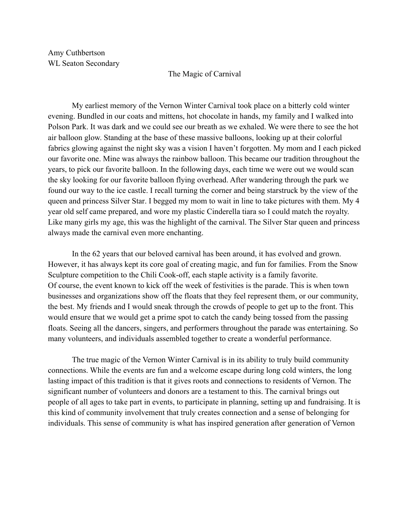Amy Cuthbertson WL Seaton Secondary

## The Magic of Carnival

My earliest memory of the Vernon Winter Carnival took place on a bitterly cold winter evening. Bundled in our coats and mittens, hot chocolate in hands, my family and I walked into Polson Park. It was dark and we could see our breath as we exhaled. We were there to see the hot air balloon glow. Standing at the base of these massive balloons, looking up at their colorful fabrics glowing against the night sky was a vision I haven't forgotten. My mom and I each picked our favorite one. Mine was always the rainbow balloon. This became our tradition throughout the years, to pick our favorite balloon. In the following days, each time we were out we would scan the sky looking for our favorite balloon flying overhead. After wandering through the park we found our way to the ice castle. I recall turning the corner and being starstruck by the view of the queen and princess Silver Star. I begged my mom to wait in line to take pictures with them. My 4 year old self came prepared, and wore my plastic Cinderella tiara so I could match the royalty. Like many girls my age, this was the highlight of the carnival. The Silver Star queen and princess always made the carnival even more enchanting.

In the 62 years that our beloved carnival has been around, it has evolved and grown. However, it has always kept its core goal of creating magic, and fun for families. From the Snow Sculpture competition to the Chili Cook-off, each staple activity is a family favorite. Of course, the event known to kick off the week of festivities is the parade. This is when town businesses and organizations show off the floats that they feel represent them, or our community, the best. My friends and I would sneak through the crowds of people to get up to the front. This would ensure that we would get a prime spot to catch the candy being tossed from the passing floats. Seeing all the dancers, singers, and performers throughout the parade was entertaining. So many volunteers, and individuals assembled together to create a wonderful performance.

The true magic of the Vernon Winter Carnival is in its ability to truly build community connections. While the events are fun and a welcome escape during long cold winters, the long lasting impact of this tradition is that it gives roots and connections to residents of Vernon. The significant number of volunteers and donors are a testament to this. The carnival brings out people of all ages to take part in events, to participate in planning, setting up and fundraising. It is this kind of community involvement that truly creates connection and a sense of belonging for individuals. This sense of community is what has inspired generation after generation of Vernon